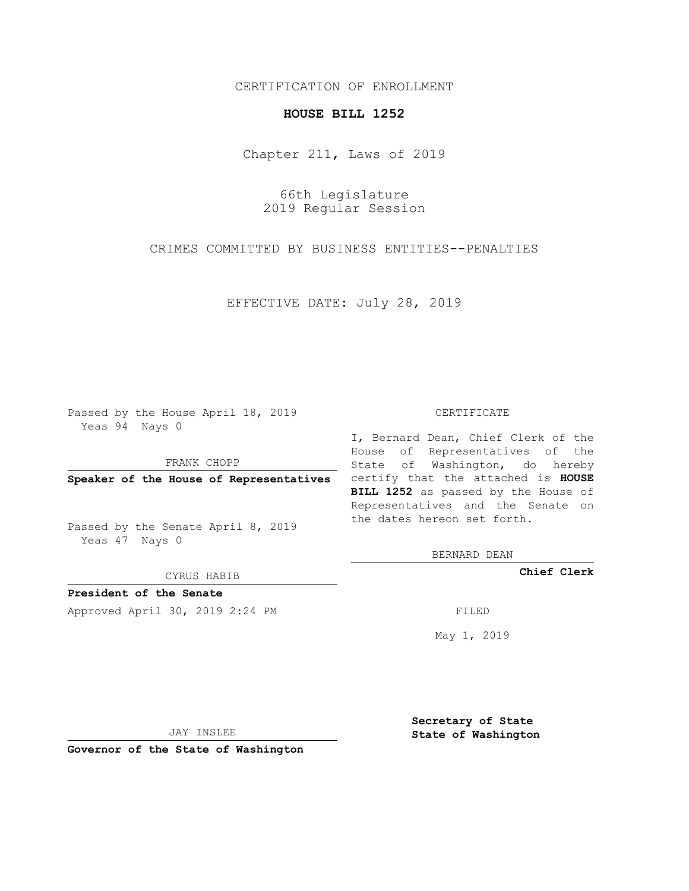### CERTIFICATION OF ENROLLMENT

## **HOUSE BILL 1252**

Chapter 211, Laws of 2019

66th Legislature 2019 Regular Session

CRIMES COMMITTED BY BUSINESS ENTITIES--PENALTIES

EFFECTIVE DATE: July 28, 2019

Passed by the House April 18, 2019 Yeas 94 Nays 0

FRANK CHOPP

Passed by the Senate April 8, 2019 Yeas 47 Nays 0

CYRUS HABIB

**President of the Senate**

Approved April 30, 2019 2:24 PM FILED

#### CERTIFICATE

**Speaker of the House of Representatives** certify that the attached is **HOUSE** I, Bernard Dean, Chief Clerk of the House of Representatives of the State of Washington, do hereby **BILL 1252** as passed by the House of Representatives and the Senate on the dates hereon set forth.

BERNARD DEAN

**Chief Clerk**

May 1, 2019

JAY INSLEE

**Governor of the State of Washington**

**Secretary of State State of Washington**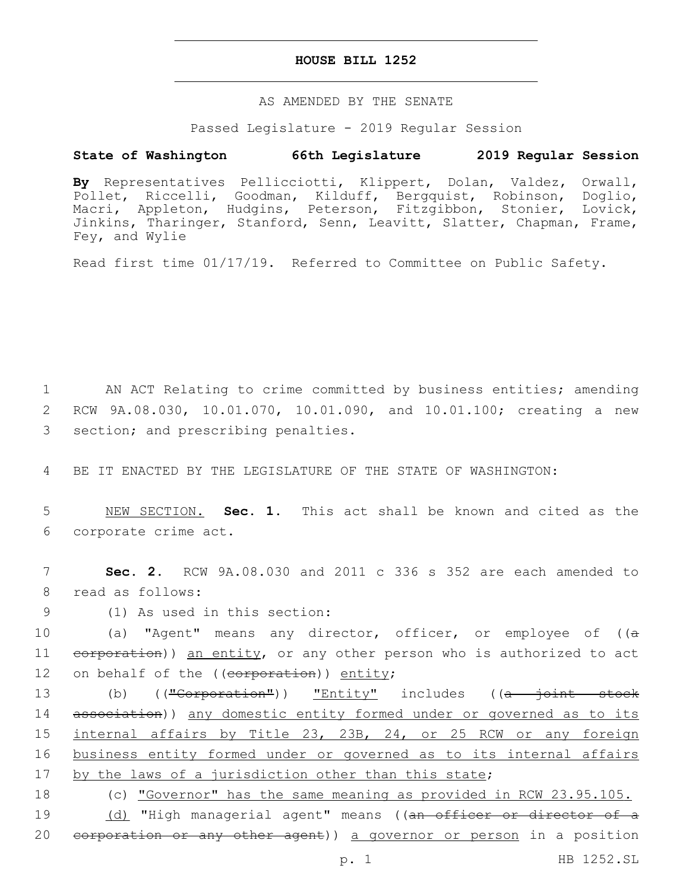#### **HOUSE BILL 1252**

#### AS AMENDED BY THE SENATE

Passed Legislature - 2019 Regular Session

# **State of Washington 66th Legislature 2019 Regular Session**

**By** Representatives Pellicciotti, Klippert, Dolan, Valdez, Orwall, Pollet, Riccelli, Goodman, Kilduff, Bergquist, Robinson, Doglio, Macri, Appleton, Hudgins, Peterson, Fitzgibbon, Stonier, Lovick, Jinkins, Tharinger, Stanford, Senn, Leavitt, Slatter, Chapman, Frame, Fey, and Wylie

Read first time 01/17/19. Referred to Committee on Public Safety.

1 AN ACT Relating to crime committed by business entities; amending 2 RCW 9A.08.030, 10.01.070, 10.01.090, and 10.01.100; creating a new 3 section; and prescribing penalties.

4 BE IT ENACTED BY THE LEGISLATURE OF THE STATE OF WASHINGTON:

5 NEW SECTION. **Sec. 1.** This act shall be known and cited as the 6 corporate crime act.

7 **Sec. 2.** RCW 9A.08.030 and 2011 c 336 s 352 are each amended to 8 read as follows:

(1) As used in this section:9

10 (a) "Agent" means any director, officer, or employee of ((a 11 eorporation)) an entity, or any other person who is authorized to act 12 on behalf of the ((corporation)) entity;

13 (b) ((<del>"Corporation"</del>)) "Entity" includes ((<del>a joint stock</del> 14 association)) any domestic entity formed under or governed as to its 15 internal affairs by Title 23, 23B, 24, or 25 RCW or any foreign 16 business entity formed under or governed as to its internal affairs 17 by the laws of a jurisdiction other than this state;

18 (c) "Governor" has the same meaning as provided in RCW 23.95.105.

19 (d) "High managerial agent" means ((<del>an officer or director of a</del> 20 <del>corporation or any other agent</del>)) a governor or person in a position

p. 1 HB 1252.SL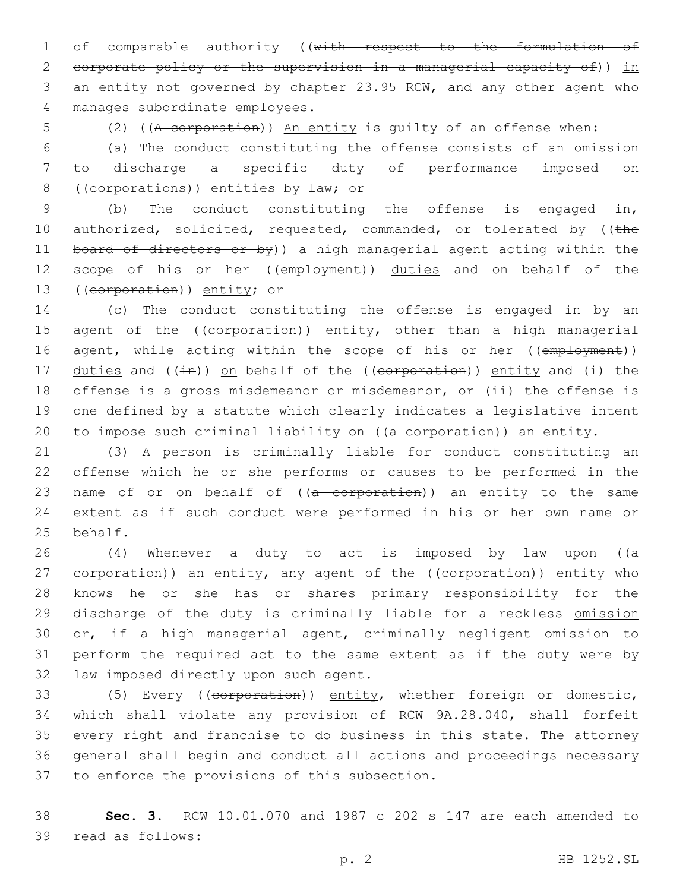1 of comparable authority ((with respect to the formulation of 2 corporate policy or the supervision in a managerial capacity of)) in 3 an entity not governed by chapter 23.95 RCW, and any other agent who manages subordinate employees.4

5 (2) ((A corporation)) An entity is guilty of an offense when:

6 (a) The conduct constituting the offense consists of an omission 7 to discharge a specific duty of performance imposed on 8 ((corporations)) entities by law; or

9 (b) The conduct constituting the offense is engaged in, 10 authorized, solicited, requested, commanded, or tolerated by ((the 11 board of directors or by)) a high managerial agent acting within the 12 scope of his or her ((employment)) duties and on behalf of the 13 ((corporation)) entity; or

14 (c) The conduct constituting the offense is engaged in by an 15 agent of the ((corporation)) entity, other than a high managerial 16 agent, while acting within the scope of his or her ((employment)) 17 duties and ( $(i+n)$ ) on behalf of the ((corporation)) entity and (i) the 18 offense is a gross misdemeanor or misdemeanor, or (ii) the offense is 19 one defined by a statute which clearly indicates a legislative intent 20 to impose such criminal liability on  $((a-corporation))$  an entity.

21 (3) A person is criminally liable for conduct constituting an 22 offense which he or she performs or causes to be performed in the 23 name of or on behalf of  $((a-corporation))$  an entity to the same 24 extent as if such conduct were performed in his or her own name or 25 behalf.

26 (4) Whenever a duty to act is imposed by law upon ( $(a + b)^2$ 27 eorporation)) an entity, any agent of the ((corporation)) entity who 28 knows he or she has or shares primary responsibility for the 29 discharge of the duty is criminally liable for a reckless omission 30 or, if a high managerial agent, criminally negligent omission to 31 perform the required act to the same extent as if the duty were by 32 law imposed directly upon such agent.

33 (5) Every ((corporation)) entity, whether foreign or domestic, 34 which shall violate any provision of RCW 9A.28.040, shall forfeit 35 every right and franchise to do business in this state. The attorney 36 general shall begin and conduct all actions and proceedings necessary 37 to enforce the provisions of this subsection.

38 **Sec. 3.** RCW 10.01.070 and 1987 c 202 s 147 are each amended to 39 read as follows: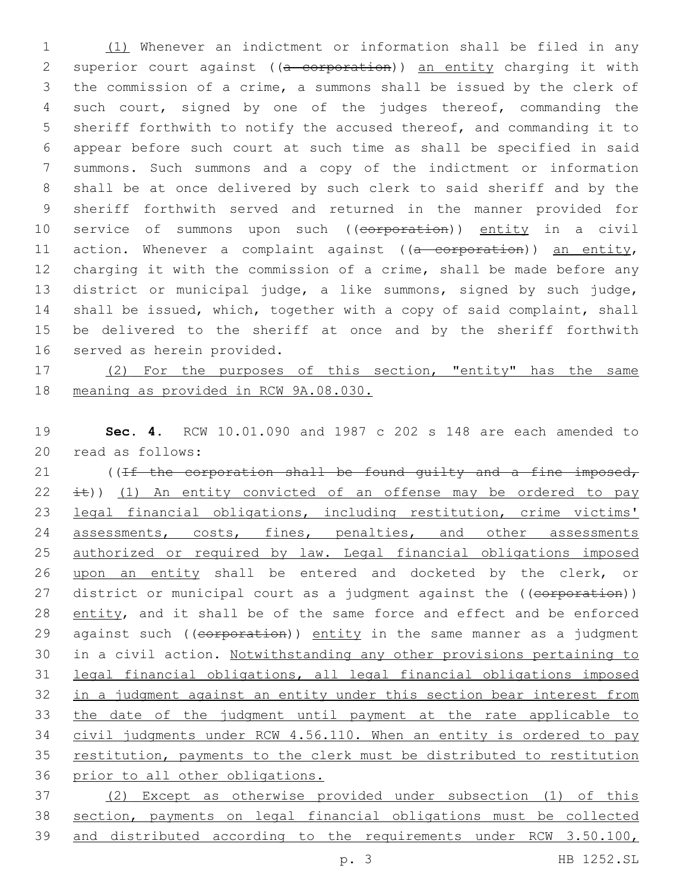(1) Whenever an indictment or information shall be filed in any 2 superior court against ((a corporation)) an entity charging it with the commission of a crime, a summons shall be issued by the clerk of such court, signed by one of the judges thereof, commanding the sheriff forthwith to notify the accused thereof, and commanding it to appear before such court at such time as shall be specified in said summons. Such summons and a copy of the indictment or information shall be at once delivered by such clerk to said sheriff and by the sheriff forthwith served and returned in the manner provided for 10 service of summons upon such ((corporation)) entity in a civil 11 action. Whenever a complaint against ((a corporation)) an entity, charging it with the commission of a crime, shall be made before any district or municipal judge, a like summons, signed by such judge, shall be issued, which, together with a copy of said complaint, shall be delivered to the sheriff at once and by the sheriff forthwith 16 served as herein provided.

17 (2) For the purposes of this section, "entity" has the same meaning as provided in RCW 9A.08.030.

 **Sec. 4.** RCW 10.01.090 and 1987 c 202 s 148 are each amended to 20 read as follows:

21 ((If the corporation shall be found quilty and a fine imposed,  $\pm$ )) (1) An entity convicted of an offense may be ordered to pay legal financial obligations, including restitution, crime victims' 24 assessments, costs, fines, penalties, and other assessments authorized or required by law. Legal financial obligations imposed upon an entity shall be entered and docketed by the clerk, or 27 district or municipal court as a judgment against the ((corporation)) entity, and it shall be of the same force and effect and be enforced 29 against such ((corporation)) entity in the same manner as a judgment in a civil action. Notwithstanding any other provisions pertaining to legal financial obligations, all legal financial obligations imposed in a judgment against an entity under this section bear interest from the date of the judgment until payment at the rate applicable to civil judgments under RCW 4.56.110. When an entity is ordered to pay restitution, payments to the clerk must be distributed to restitution prior to all other obligations.

 (2) Except as otherwise provided under subsection (1) of this section, payments on legal financial obligations must be collected and distributed according to the requirements under RCW 3.50.100,

p. 3 HB 1252.SL